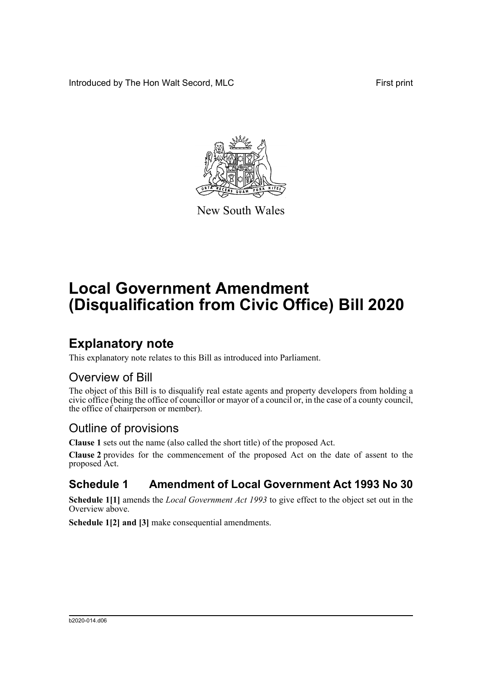Introduced by The Hon Walt Secord, MLC First print



New South Wales

# **Local Government Amendment (Disqualification from Civic Office) Bill 2020**

### **Explanatory note**

This explanatory note relates to this Bill as introduced into Parliament.

#### Overview of Bill

The object of this Bill is to disqualify real estate agents and property developers from holding a civic office (being the office of councillor or mayor of a council or, in the case of a county council, the office of chairperson or member).

### Outline of provisions

**Clause 1** sets out the name (also called the short title) of the proposed Act.

**Clause 2** provides for the commencement of the proposed Act on the date of assent to the proposed Act.

### **Schedule 1 Amendment of Local Government Act 1993 No 30**

**Schedule 1[1]** amends the *Local Government Act 1993* to give effect to the object set out in the Overview above.

**Schedule 1[2] and [3]** make consequential amendments.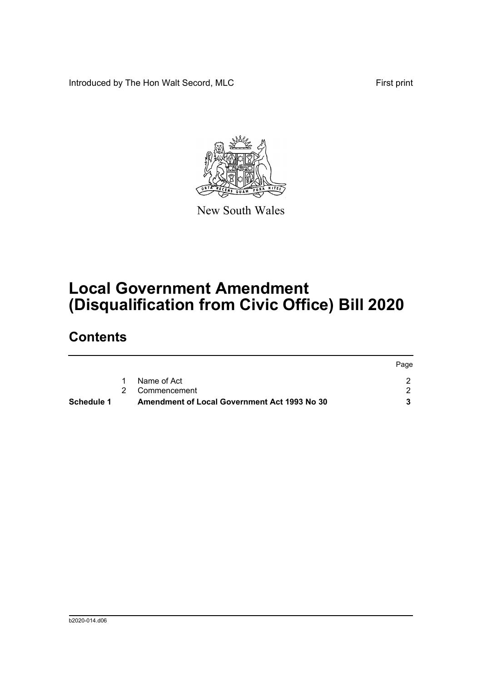Introduced by The Hon Walt Secord, MLC First print



New South Wales

# **Local Government Amendment (Disqualification from Civic Office) Bill 2020**

### **Contents**

| <b>Schedule 1</b> | Amendment of Local Government Act 1993 No 30 |      |
|-------------------|----------------------------------------------|------|
|                   | 2 Commencement                               |      |
|                   | Name of Act                                  |      |
|                   |                                              | Page |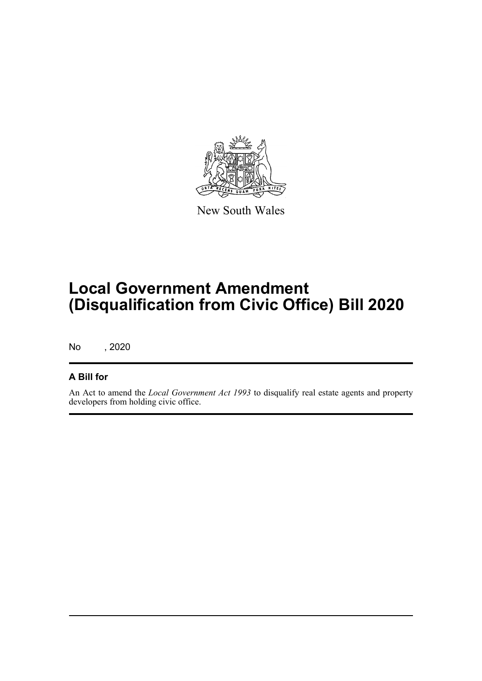

New South Wales

# **Local Government Amendment (Disqualification from Civic Office) Bill 2020**

No , 2020

#### **A Bill for**

An Act to amend the *Local Government Act 1993* to disqualify real estate agents and property developers from holding civic office.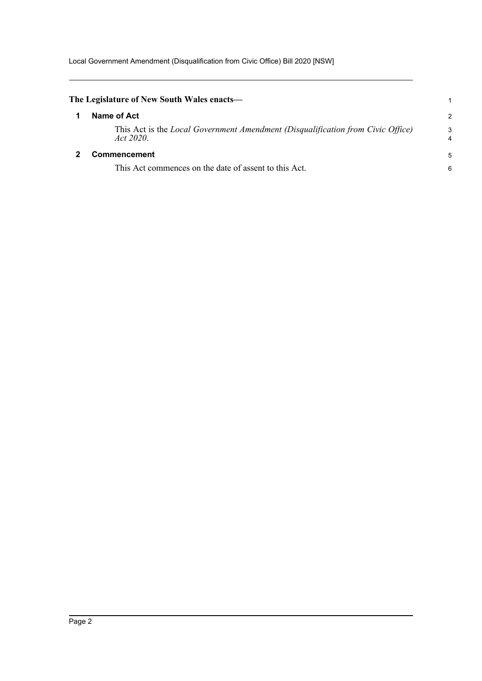Local Government Amendment (Disqualification from Civic Office) Bill 2020 [NSW]

<span id="page-3-1"></span><span id="page-3-0"></span>

| The Legislature of New South Wales enacts—                                                   |                     |
|----------------------------------------------------------------------------------------------|---------------------|
| Name of Act                                                                                  | 2                   |
| This Act is the Local Government Amendment (Disqualification from Civic Office)<br>Act 2020. | 3<br>$\overline{4}$ |
| <b>Commencement</b>                                                                          | 5                   |
| This Act commences on the date of assent to this Act.                                        | 6                   |
|                                                                                              |                     |